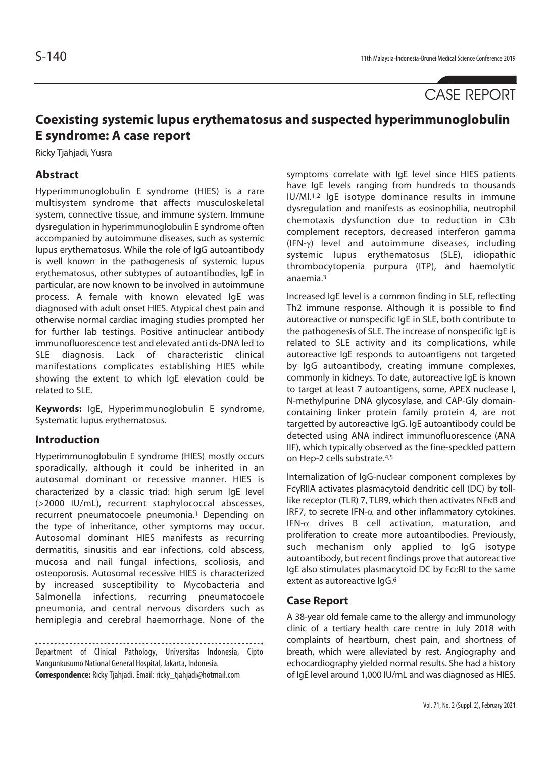CASE REPORT

# **Coexisting systemic lupus erythematosus and suspected hyperimmunoglobulin E syndrome: A case report**

Ricky Tjahjadi, Yusra

# **Abstract**

Hyperimmunoglobulin E syndrome (HIES) is a rare multisystem syndrome that affects musculoskeletal system, connective tissue, and immune system. Immune dysregulation in hyperimmunoglobulin E syndrome often accompanied by autoimmune diseases, such as systemic lupus erythematosus. While the role of IgG autoantibody is well known in the pathogenesis of systemic lupus erythematosus, other subtypes of autoantibodies, IgE in particular, are now known to be involved in autoimmune process. A female with known elevated IgE was diagnosed with adult onset HIES. Atypical chest pain and otherwise normal cardiac imaging studies prompted her for further lab testings. Positive antinuclear antibody immunofluorescence test and elevated anti ds-DNA led to SLE diagnosis. Lack of characteristic clinical manifestations complicates establishing HIES while showing the extent to which IgE elevation could be related to SLE.

**Keywords:** IgE, Hyperimmunoglobulin E syndrome, Systematic lupus erythematosus.

## **Introduction**

Hyperimmunoglobulin E syndrome (HIES) mostly occurs sporadically, although it could be inherited in an autosomal dominant or recessive manner. HIES is characterized by a classic triad: high serum IgE level (>2000 IU/mL), recurrent staphylococcal abscesses, recurrent pneumatocoele pneumonia.<sup>1</sup> Depending on the type of inheritance, other symptoms may occur. Autosomal dominant HIES manifests as recurring dermatitis, sinusitis and ear infections, cold abscess, mucosa and nail fungal infections, scoliosis, and osteoporosis. Autosomal recessive HIES is characterized by increased susceptibility to Mycobacteria and Salmonella infections, recurring pneumatocoele pneumonia, and central nervous disorders such as hemiplegia and cerebral haemorrhage. None of the

Department of Clinical Pathology, Universitas Indonesia, Cipto Mangunkusumo National General Hospital, Jakarta, Indonesia. **Correspondence:** Ricky Tjahjadi. Email: ricky\_tjahjadi@hotmail.com

symptoms correlate with IgE level since HIES patients have IgE levels ranging from hundreds to thousands IU/Ml.1,2 IgE isotype dominance results in immune dysregulation and manifests as eosinophilia, neutrophil chemotaxis dysfunction due to reduction in C3b complement receptors, decreased interferon gamma (IFN-γ) level and autoimmune diseases, including systemic lupus erythematosus (SLE), idiopathic thrombocytopenia purpura (ITP), and haemolytic anaemia.3

Increased IgE level is a common finding in SLE, reflecting Th2 immune response. Although it is possible to find autoreactive or nonspecific IgE in SLE, both contribute to the pathogenesis of SLE. The increase of nonspecific IgE is related to SLE activity and its complications, while autoreactive IgE responds to autoantigens not targeted by IgG autoantibody, creating immune complexes, commonly in kidneys. To date, autoreactive IgE is known to target at least 7 autoantigens, some, APEX nuclease I, N-methylpurine DNA glycosylase, and CAP-Gly domaincontaining linker protein family protein 4, are not targetted by autoreactive IgG. IgE autoantibody could be detected using ANA indirect immunofluorescence (ANA IIF), which typically observed as the fine-speckled pattern on Hep-2 cells substrate.4,5

Internalization of IgG-nuclear component complexes by FcγRIIA activates plasmacytoid dendritic cell (DC) by tolllike receptor (TLR) 7, TLR9, which then activates NFκB and IRF7, to secrete IFN- $\alpha$  and other inflammatory cytokines. IFN- $\alpha$  drives B cell activation, maturation, and proliferation to create more autoantibodies. Previously, such mechanism only applied to IgG isotype autoantibody, but recent findings prove that autoreactive IgE also stimulates plasmacytoid DC by FcεRI to the same extent as autoreactive IgG.<sup>6</sup>

## **Case Report**

A 38-year old female came to the allergy and immunology clinic of a tertiary health care centre in July 2018 with complaints of heartburn, chest pain, and shortness of breath, which were alleviated by rest. Angiography and echocardiography yielded normal results. She had a history of IgE level around 1,000 IU/mL and was diagnosed as HIES.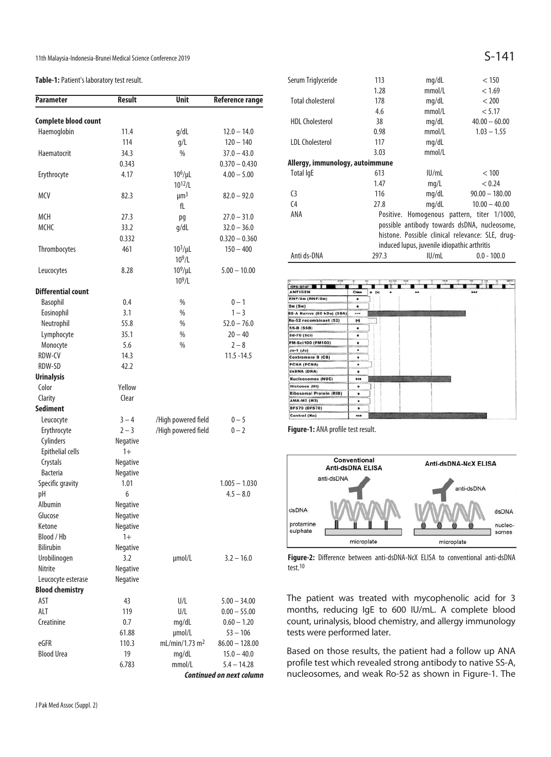11th Malaysia-Indonesia-Brunei Medical Science Conference 2019  $S-141$ 

### **Table-1:** Patient's laboratory test result.

| <b>Parameter</b>            | <b>Result</b> | <b>Unit</b>                 | <b>Reference range</b>          |
|-----------------------------|---------------|-----------------------------|---------------------------------|
| <b>Complete blood count</b> |               |                             |                                 |
| Haemoglobin                 | 11.4          | g/dL                        | $12.0 - 14.0$                   |
|                             | 114           | g/L                         | $120 - 140$                     |
| Haematocrit                 | 34.3          | %                           | $37.0 - 43.0$                   |
|                             |               |                             | $0.370 - 0.430$                 |
|                             | 0.343         |                             |                                 |
| Erythrocyte                 | 4.17          | $10^6/\mu L$<br>$10^{12}/L$ | $4.00 - 5.00$                   |
|                             |               | $\mu$ m <sup>3</sup>        |                                 |
| MCV                         | 82.3          | fL                          | $82.0 - 92.0$                   |
|                             |               |                             |                                 |
| MCH                         | 27.3          | pq                          | $27.0 - 31.0$                   |
| МСНС                        | 33.2          | g/dL                        | $32.0 - 36.0$                   |
|                             | 0.332         |                             | $0.320 - 0.360$                 |
| Thrombocytes                | 461           | $103/\mu L$<br>$10^9$ /L    | $150 - 400$                     |
|                             |               |                             |                                 |
| Leucocytes                  | 8.28          | $10^9/\mu L$                | $5.00 - 10.00$                  |
|                             |               | 10 <sup>9</sup> /L          |                                 |
| Differential count          |               |                             |                                 |
| <b>Basophil</b>             | 0.4           | %                           | $0 - 1$                         |
| Eosinophil                  | 3.1           | %                           | $1 - 3$                         |
| Neutrophil                  | 55.8          | %                           | $52.0 - 76.0$                   |
| Lymphocyte                  | 35.1          | %                           | $20 - 40$                       |
| Monocyte                    | 5.6           | %                           | $2 - 8$                         |
| RDW-CV                      | 14.3          |                             | $11.5 - 14.5$                   |
| RDW-SD                      | 42.2          |                             |                                 |
| <b>Urinalysis</b>           |               |                             |                                 |
| Color                       | Yellow        |                             |                                 |
| Clarity                     | Clear         |                             |                                 |
| Sediment                    |               |                             |                                 |
| Leucocyte                   | $3 - 4$       | /High powered field         | $0 - 5$                         |
| Erythrocyte                 | $2 - 3$       | /High powered field         | $0 - 2$                         |
| Cylinders                   | Negative      |                             |                                 |
| Epithelial cells            | $1+$          |                             |                                 |
| Crystals                    | Negative      |                             |                                 |
| <b>Bacteria</b>             | Negative      |                             |                                 |
| Specific gravity            | 1.01          |                             | $1.005 - 1.030$                 |
| рH                          | 6             |                             | $4.5 - 8.0$                     |
| Albumin                     | Negative      |                             |                                 |
| Glucose                     | Negative      |                             |                                 |
| Ketone                      | Negative      |                             |                                 |
| Blood / Hb                  | $1+$          |                             |                                 |
| <b>Bilirubin</b>            | Negative      |                             |                                 |
| Urobilinogen                | 3.2           | µmol/L                      | $3.2 - 16.0$                    |
| Nitrite                     | Negative      |                             |                                 |
| Leucocyte esterase          | Negative      |                             |                                 |
| <b>Blood chemistry</b>      |               |                             |                                 |
| AST                         | 43            | U/L                         | $5.00 - 34.00$                  |
| ALT                         | 119           | U/L                         | $0.00 - 55.00$                  |
| Creatinine                  | 0.7           | mg/dL                       | $0.60 - 1.20$                   |
|                             | 61.88         | µmol/L                      | $53 - 106$                      |
| eGFR                        | 110.3         | mL/min/1.73 m <sup>2</sup>  | $86.00 - 128.00$                |
| <b>Blood Urea</b>           | 19            | mg/dL                       | $15.0 - 40.0$                   |
|                             | 6.783         | mmol/L                      | $5.4 - 14.28$                   |
|                             |               |                             | <b>Continued on next column</b> |

| 113                                              | mq/dL  | < 150                                       |  |
|--------------------------------------------------|--------|---------------------------------------------|--|
| 1.28                                             | mmol/L | < 1.69                                      |  |
| 178                                              | mq/dL  | < 200                                       |  |
| 4.6                                              | mmol/L | < 5.17                                      |  |
| 38                                               | mq/dL  | $40.00 - 60.00$                             |  |
| 0.98                                             | mmol/L | $1.03 - 1.55$                               |  |
| 117                                              | mq/dL  |                                             |  |
| 3.03                                             | mmol/L |                                             |  |
| Allergy, immunology, autoimmune                  |        |                                             |  |
| 613                                              | IUI/ml | < 100                                       |  |
| 1.47                                             | mq/L   | < 0.24                                      |  |
| 116                                              | mq/dL  | $90.00 - 180.00$                            |  |
| 27.8                                             | mq/dL  | $10.00 - 40.00$                             |  |
|                                                  |        |                                             |  |
| possible antibody towards dsDNA, nucleosome,     |        |                                             |  |
| histone. Possible clinical relevance: SLE, drug- |        |                                             |  |
| induced lupus, juvenile idiopathic arthritis     |        |                                             |  |
| 297.3                                            | IU/mL  | $0.0 - 100.0$                               |  |
|                                                  |        | Positive. Homogenous pattern, titer 1/1000, |  |



**Figure-1:** ANA profile test result.



**Figure-2:** Difference between anti-dsDNA-NcX ELISA to conventional anti-dsDNA test.10

The patient was treated with mycophenolic acid for 3 months, reducing IgE to 600 IU/mL. A complete blood count, urinalysis, blood chemistry, and allergy immunology tests were performed later.

Based on those results, the patient had a follow up ANA profile test which revealed strong antibody to native SS-A, nucleosomes, and weak Ro-52 as shown in Figure-1. The